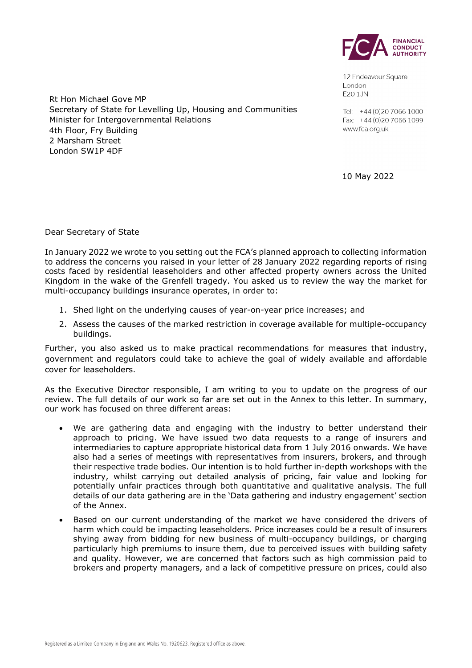

12 Endeavour Square London E20 1JN

Tel: +44 (0) 20 7066 1000 Fax: +44 (0) 20 7066 1099 www.fca.org.uk

10 May 2022

Rt Hon Michael Gove MP Secretary of State for Levelling Up, Housing and Communities Minister for Intergovernmental Relations 4th Floor, Fry Building 2 Marsham Street London SW1P 4DF

Dear Secretary of State

In January 2022 we wrote to you setting out the FCA's planned approach to collecting information to address the concerns you raised in your letter of 28 January 2022 regarding reports of rising costs faced by residential leaseholders and other affected property owners across the United Kingdom in the wake of the Grenfell tragedy. You asked us to review the way the market for multi-occupancy buildings insurance operates, in order to:

- 1. Shed light on the underlying causes of year-on-year price increases; and
- 2. Assess the causes of the marked restriction in coverage available for multiple-occupancy buildings.

Further, you also asked us to make practical recommendations for measures that industry, government and regulators could take to achieve the goal of widely available and affordable cover for leaseholders.

As the Executive Director responsible, I am writing to you to update on the progress of our review. The full details of our work so far are set out in the Annex to this letter. In summary, our work has focused on three different areas:

- We are gathering data and engaging with the industry to better understand their approach to pricing. We have issued two data requests to a range of insurers and intermediaries to capture appropriate historical data from 1 July 2016 onwards. We have also had a series of meetings with representatives from insurers, brokers, and through their respective trade bodies. Our intention is to hold further in-depth workshops with the industry, whilst carrying out detailed analysis of pricing, fair value and looking for potentially unfair practices through both quantitative and qualitative analysis. The full details of our data gathering are in the 'Data gathering and industry engagement' section of the Annex.
- Based on our current understanding of the market we have considered the drivers of harm which could be impacting leaseholders. Price increases could be a result of insurers shying away from bidding for new business of multi-occupancy buildings, or charging particularly high premiums to insure them, due to perceived issues with building safety and quality. However, we are concerned that factors such as high commission paid to brokers and property managers, and a lack of competitive pressure on prices, could also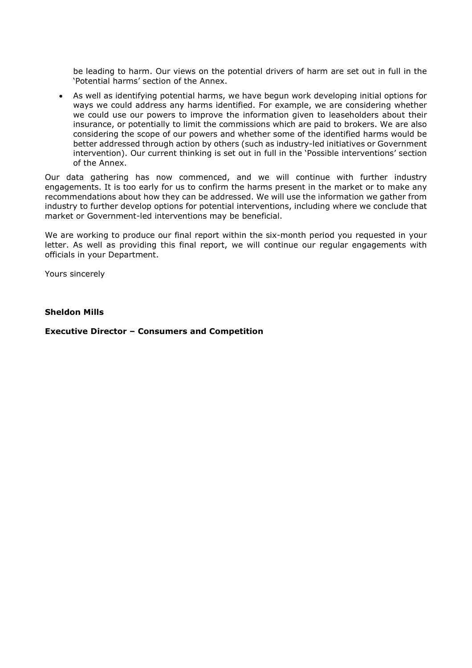be leading to harm. Our views on the potential drivers of harm are set out in full in the 'Potential harms' section of the Annex.

• As well as identifying potential harms, we have begun work developing initial options for ways we could address any harms identified. For example, we are considering whether we could use our powers to improve the information given to leaseholders about their insurance, or potentially to limit the commissions which are paid to brokers. We are also considering the scope of our powers and whether some of the identified harms would be better addressed through action by others (such as industry-led initiatives or Government intervention). Our current thinking is set out in full in the 'Possible interventions' section of the Annex.

Our data gathering has now commenced, and we will continue with further industry engagements. It is too early for us to confirm the harms present in the market or to make any recommendations about how they can be addressed. We will use the information we gather from industry to further develop options for potential interventions, including where we conclude that market or Government-led interventions may be beneficial.

We are working to produce our final report within the six-month period you requested in your letter. As well as providing this final report, we will continue our regular engagements with officials in your Department.

Yours sincerely

### **Sheldon Mills**

**Executive Director – Consumers and Competition**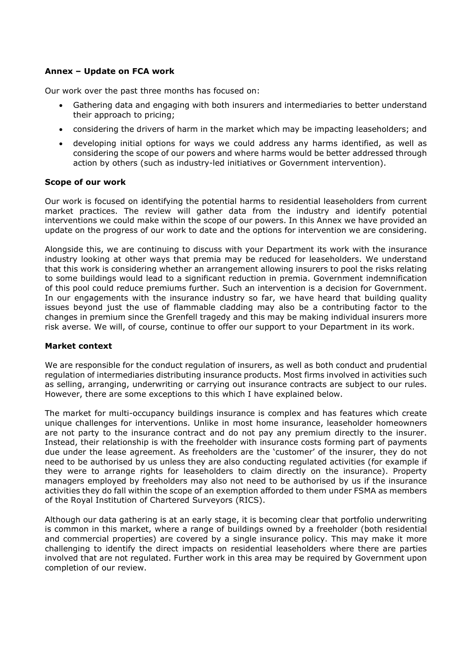# **Annex – Update on FCA work**

Our work over the past three months has focused on:

- Gathering data and engaging with both insurers and intermediaries to better understand their approach to pricing;
- considering the drivers of harm in the market which may be impacting leaseholders; and
- developing initial options for ways we could address any harms identified, as well as considering the scope of our powers and where harms would be better addressed through action by others (such as industry-led initiatives or Government intervention).

### **Scope of our work**

Our work is focused on identifying the potential harms to residential leaseholders from current market practices. The review will gather data from the industry and identify potential interventions we could make within the scope of our powers. In this Annex we have provided an update on the progress of our work to date and the options for intervention we are considering.

Alongside this, we are continuing to discuss with your Department its work with the insurance industry looking at other ways that premia may be reduced for leaseholders. We understand that this work is considering whether an arrangement allowing insurers to pool the risks relating to some buildings would lead to a significant reduction in premia. Government indemnification of this pool could reduce premiums further. Such an intervention is a decision for Government. In our engagements with the insurance industry so far, we have heard that building quality issues beyond just the use of flammable cladding may also be a contributing factor to the changes in premium since the Grenfell tragedy and this may be making individual insurers more risk averse. We will, of course, continue to offer our support to your Department in its work.

### **Market context**

We are responsible for the conduct regulation of insurers, as well as both conduct and prudential regulation of intermediaries distributing insurance products. Most firms involved in activities such as selling, arranging, underwriting or carrying out insurance contracts are subject to our rules. However, there are some exceptions to this which I have explained below.

The market for multi-occupancy buildings insurance is complex and has features which create unique challenges for interventions. Unlike in most home insurance, leaseholder homeowners are not party to the insurance contract and do not pay any premium directly to the insurer. Instead, their relationship is with the freeholder with insurance costs forming part of payments due under the lease agreement. As freeholders are the 'customer' of the insurer, they do not need to be authorised by us unless they are also conducting regulated activities (for example if they were to arrange rights for leaseholders to claim directly on the insurance). Property managers employed by freeholders may also not need to be authorised by us if the insurance activities they do fall within the scope of an exemption afforded to them under FSMA as members of the Royal Institution of Chartered Surveyors (RICS).

Although our data gathering is at an early stage, it is becoming clear that portfolio underwriting is common in this market, where a range of buildings owned by a freeholder (both residential and commercial properties) are covered by a single insurance policy. This may make it more challenging to identify the direct impacts on residential leaseholders where there are parties involved that are not regulated. Further work in this area may be required by Government upon completion of our review.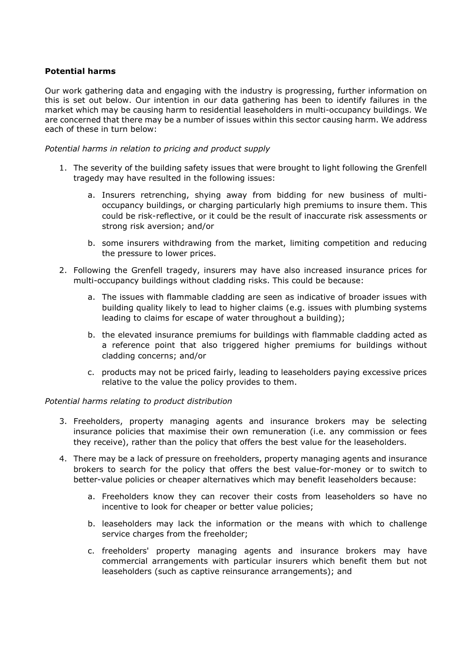## **Potential harms**

Our work gathering data and engaging with the industry is progressing, further information on this is set out below. Our intention in our data gathering has been to identify failures in the market which may be causing harm to residential leaseholders in multi-occupancy buildings. We are concerned that there may be a number of issues within this sector causing harm. We address each of these in turn below:

### *Potential harms in relation to pricing and product supply*

- 1. The severity of the building safety issues that were brought to light following the Grenfell tragedy may have resulted in the following issues:
	- a. Insurers retrenching, shying away from bidding for new business of multioccupancy buildings, or charging particularly high premiums to insure them. This could be risk-reflective, or it could be the result of inaccurate risk assessments or strong risk aversion; and/or
	- b. some insurers withdrawing from the market, limiting competition and reducing the pressure to lower prices.
- 2. Following the Grenfell tragedy, insurers may have also increased insurance prices for multi-occupancy buildings without cladding risks. This could be because:
	- a. The issues with flammable cladding are seen as indicative of broader issues with building quality likely to lead to higher claims (e.g. issues with plumbing systems leading to claims for escape of water throughout a building);
	- b. the elevated insurance premiums for buildings with flammable cladding acted as a reference point that also triggered higher premiums for buildings without cladding concerns; and/or
	- c. products may not be priced fairly, leading to leaseholders paying excessive prices relative to the value the policy provides to them.

### *Potential harms relating to product distribution*

- 3. Freeholders, property managing agents and insurance brokers may be selecting insurance policies that maximise their own remuneration (i.e. any commission or fees they receive), rather than the policy that offers the best value for the leaseholders.
- 4. There may be a lack of pressure on freeholders, property managing agents and insurance brokers to search for the policy that offers the best value-for-money or to switch to better-value policies or cheaper alternatives which may benefit leaseholders because:
	- a. Freeholders know they can recover their costs from leaseholders so have no incentive to look for cheaper or better value policies;
	- b. leaseholders may lack the information or the means with which to challenge service charges from the freeholder;
	- c. freeholders' property managing agents and insurance brokers may have commercial arrangements with particular insurers which benefit them but not leaseholders (such as captive reinsurance arrangements); and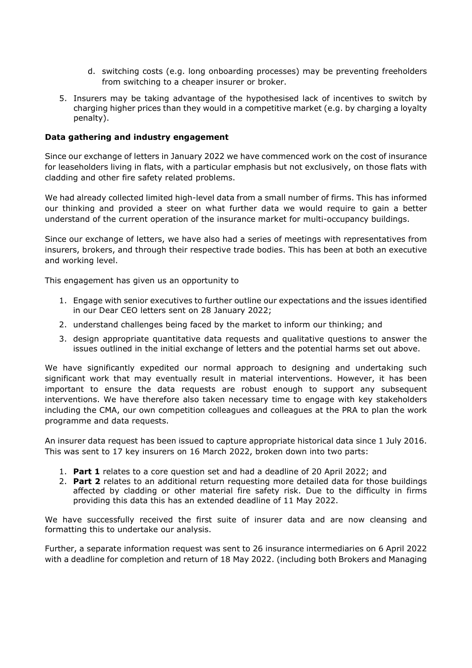- d. switching costs (e.g. long onboarding processes) may be preventing freeholders from switching to a cheaper insurer or broker.
- 5. Insurers may be taking advantage of the hypothesised lack of incentives to switch by charging higher prices than they would in a competitive market (e.g. by charging a loyalty penalty).

## **Data gathering and industry engagement**

Since our exchange of letters in January 2022 we have commenced work on the cost of insurance for leaseholders living in flats, with a particular emphasis but not exclusively, on those flats with cladding and other fire safety related problems.

We had already collected limited high-level data from a small number of firms. This has informed our thinking and provided a steer on what further data we would require to gain a better understand of the current operation of the insurance market for multi-occupancy buildings.

Since our exchange of letters, we have also had a series of meetings with representatives from insurers, brokers, and through their respective trade bodies. This has been at both an executive and working level.

This engagement has given us an opportunity to

- 1. Engage with senior executives to further outline our expectations and the issues identified in our Dear CEO letters sent on 28 January 2022;
- 2. understand challenges being faced by the market to inform our thinking; and
- 3. design appropriate quantitative data requests and qualitative questions to answer the issues outlined in the initial exchange of letters and the potential harms set out above.

We have significantly expedited our normal approach to designing and undertaking such significant work that may eventually result in material interventions. However, it has been important to ensure the data requests are robust enough to support any subsequent interventions. We have therefore also taken necessary time to engage with key stakeholders including the CMA, our own competition colleagues and colleagues at the PRA to plan the work programme and data requests.

An insurer data request has been issued to capture appropriate historical data since 1 July 2016. This was sent to 17 key insurers on 16 March 2022, broken down into two parts:

- 1. **Part 1** relates to a core question set and had a deadline of 20 April 2022; and
- 2. **Part 2** relates to an additional return requesting more detailed data for those buildings affected by cladding or other material fire safety risk. Due to the difficulty in firms providing this data this has an extended deadline of 11 May 2022.

We have successfully received the first suite of insurer data and are now cleansing and formatting this to undertake our analysis.

Further, a separate information request was sent to 26 insurance intermediaries on 6 April 2022 with a deadline for completion and return of 18 May 2022. (including both Brokers and Managing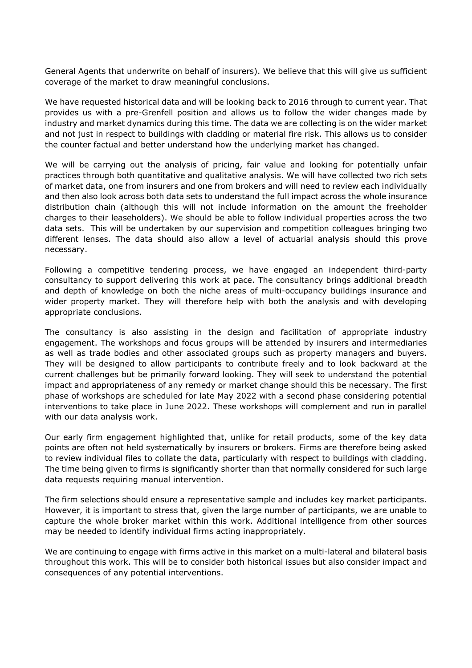General Agents that underwrite on behalf of insurers). We believe that this will give us sufficient coverage of the market to draw meaningful conclusions.

We have requested historical data and will be looking back to 2016 through to current year. That provides us with a pre-Grenfell position and allows us to follow the wider changes made by industry and market dynamics during this time. The data we are collecting is on the wider market and not just in respect to buildings with cladding or material fire risk. This allows us to consider the counter factual and better understand how the underlying market has changed.

We will be carrying out the analysis of pricing, fair value and looking for potentially unfair practices through both quantitative and qualitative analysis. We will have collected two rich sets of market data, one from insurers and one from brokers and will need to review each individually and then also look across both data sets to understand the full impact across the whole insurance distribution chain (although this will not include information on the amount the freeholder charges to their leaseholders). We should be able to follow individual properties across the two data sets. This will be undertaken by our supervision and competition colleagues bringing two different lenses. The data should also allow a level of actuarial analysis should this prove necessary.

Following a competitive tendering process, we have engaged an independent third-party consultancy to support delivering this work at pace. The consultancy brings additional breadth and depth of knowledge on both the niche areas of multi-occupancy buildings insurance and wider property market. They will therefore help with both the analysis and with developing appropriate conclusions.

The consultancy is also assisting in the design and facilitation of appropriate industry engagement. The workshops and focus groups will be attended by insurers and intermediaries as well as trade bodies and other associated groups such as property managers and buyers. They will be designed to allow participants to contribute freely and to look backward at the current challenges but be primarily forward looking. They will seek to understand the potential impact and appropriateness of any remedy or market change should this be necessary. The first phase of workshops are scheduled for late May 2022 with a second phase considering potential interventions to take place in June 2022. These workshops will complement and run in parallel with our data analysis work.

Our early firm engagement highlighted that, unlike for retail products, some of the key data points are often not held systematically by insurers or brokers. Firms are therefore being asked to review individual files to collate the data, particularly with respect to buildings with cladding. The time being given to firms is significantly shorter than that normally considered for such large data requests requiring manual intervention.

The firm selections should ensure a representative sample and includes key market participants. However, it is important to stress that, given the large number of participants, we are unable to capture the whole broker market within this work. Additional intelligence from other sources may be needed to identify individual firms acting inappropriately.

We are continuing to engage with firms active in this market on a multi-lateral and bilateral basis throughout this work. This will be to consider both historical issues but also consider impact and consequences of any potential interventions.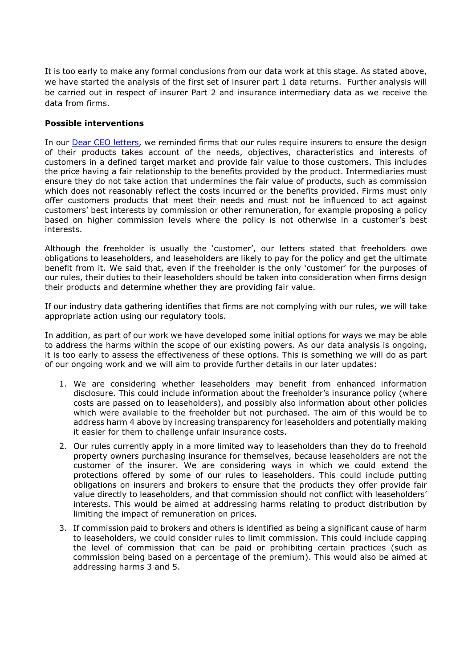It is too early to make any formal conclusions from our data work at this stage. As stated above, we have started the analysis of the first set of insurer part 1 data returns. Further analysis will be carried out in respect of insurer Part 2 and insurance intermediary data as we receive the data from firms.

## **Possible interventions**

In our **Dear CEO letters**, we reminded firms that our rules require insurers to ensure the design of their products takes account of the needs, objectives, characteristics and interests of customers in a defined target market and provide fair value to those customers. This includes the price having a fair relationship to the benefits provided by the product. Intermediaries must ensure they do not take action that undermines the fair value of products, such as commission which does not reasonably reflect the costs incurred or the benefits provided. Firms must only offer customers products that meet their needs and must not be influenced to act against customers' best interests by commission or other remuneration, for example proposing a policy based on higher commission levels where the policy is not otherwise in a customer's best interests.

Although the freeholder is usually the 'customer', our letters stated that freeholders owe obligations to leaseholders, and leaseholders are likely to pay for the policy and get the ultimate benefit from it. We said that, even if the freeholder is the only 'customer' for the purposes of our rules, their duties to their leaseholders should be taken into consideration when firms design their products and determine whether they are providing fair value.

If our industry data gathering identifies that firms are not complying with our rules, we will take appropriate action using our regulatory tools.

In addition, as part of our work we have developed some initial options for ways we may be able to address the harms within the scope of our existing powers. As our data analysis is ongoing, it is too early to assess the effectiveness of these options. This is something we will do as part of our ongoing work and we will aim to provide further details in our later updates:

- 1. We are considering whether leaseholders may benefit from enhanced information disclosure. This could include information about the freeholder's insurance policy (where costs are passed on to leaseholders), and possibly also information about other policies which were available to the freeholder but not purchased. The aim of this would be to address harm 4 above by increasing transparency for leaseholders and potentially making it easier for them to challenge unfair insurance costs.
- 2. Our rules currently apply in a more limited way to leaseholders than they do to freehold property owners purchasing insurance for themselves, because leaseholders are not the customer of the insurer. We are considering ways in which we could extend the protections offered by some of our rules to leaseholders. This could include putting obligations on insurers and brokers to ensure that the products they offer provide fair value directly to leaseholders, and that commission should not conflict with leaseholders' interests. This would be aimed at addressing harms relating to product distribution by limiting the impact of remuneration on prices.
- 3. If commission paid to brokers and others is identified as being a significant cause of harm to leaseholders, we could consider rules to limit commission. This could include capping the level of commission that can be paid or prohibiting certain practices (such as commission being based on a percentage of the premium). This would also be aimed at addressing harms 3 and 5.